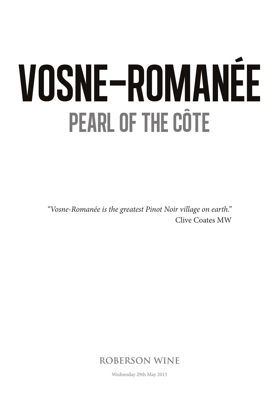# vosne-romanÉe pearl of the cÔte

*"Vosne-Romanée is the greatest Pinot Noir village on earth."* Clive Coates MW



Wednesday 29th May 2013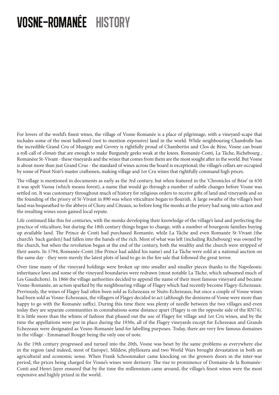# vosne-romanÉe history

For lovers of the world's finest wines, the village of Vosne-Romanée is a place of pilgrimage, with a vineyard-scape that includes some of the most hallowed (not to mention expensive) land in the world. While neighbouring Chambolle has the incredible Grand Cru of Musigny and Gevrey is rightfully proud of Chambertin and Clos de Bèze, Vosne can boast a roll-call of *climats* that are enough to make Burgundy geeks weak at the knees. Romanée-Conti, La Tâche, Richebourg , Romanéee St-Vivant - these vineyards and the wines that comes from them are the most sought after in the world. But Vosne is about more than just Grand Crus - the standard of wines across the board is exceptional; the village's cellars are occupied by some of Pinot Noir's master craftsmen, making village and 1er Cru wines that rightfully command high prices.

The village is mentioned in documents as early as the 3rd century, but when featured in the 'Chronicles of Bèze' in 650 it was spelt Vaona (which means forest), a name that would go through a number of subtle changes before Vosne was settled on. It was customary throughout much of history for religious orders to receive gifts of land and vineyards and so the founding of the priory of St-Vivant in 890 was when viticulture began to flourish. A large swathe of the village's best land was bequeathed to the abbeys of Cluny and Citeaux, so before long the monks at the priory had sung into action and the resulting wines soon gained local repute.

Life continued like this for centuries, with the monks developing their knowledge of the village's land and perfecting the practice of viticulture, but during the 18th century things began to change, with a number of bourgeois families buying up available land. The Prince de Conti had purchased Romanée, while La Tâche and even Romanée St-Vivant (the church's back garden) had fallen into the hands of the rich. Most of what was left (including Richebourg) was owned by the church, but when the revolution began at the end of the century, both the wealthy and the church were stripped of their assets. In 1794, Romanée-Conti (the Prince had added his name) and La Tâche were sold at a national auction on the same day - they were merely the latest plots of land to go in the fire sale that followed the great terror.

Over time many of the vineyard holdings were broken up into smaller and smaller pieces thanks to the Napoleonic inheritance laws and some of the vineyard boundaries were redrawn (most notable La Tâche, which subsumed much of Les Gaudichots). In 1866 the village authorities decided to append the name of their most famous vineyard and became Vosne-Romanée, an action sparked by the neighbouring village of Flagey which had recently become Flagey-Echezeaux. Previously, the wines of Flagey had often been sold as Echezeaux or Nuits-Echezeaux, but once a couple of Vosne wines had been sold as Vosne-Echezeaux, the villagers of Flagey decided to act (although the denizens of Vosne were more than happy to go with the Romanée suffix). During this time there was plenty of needle between the two villages and even today they are separate communities in connubations some distance apart (Flagey is on the opposite side of the RN74). It is little more than the whims of fashion that phased out the use of Flagey for village and 1er Cru wines, and by the time the appellations were put in place during the 1930s, all of the Flagey vineyards except for Echezeaux and Grands Echezeaux were designated as Vosne-Romanée land for labelling purposes. Today, there are very few famous domaines in the village - Emmanuel Rouget being the only one of note.

As the 19th century progressed and turned into the 20th, Vosne was beset by the same problems as everywhere else in the region (and indeed, most of Europe). Mildew, phylloxera and two World Wars brought devastation in both an agricultural and economic sense. When Frank Schoonmaker came knocking on the growers doors in the inter-war period, the prices being charged for Vosne's wines were derisory. The rise to prominence of Domaine de la Romanée-Conti and Henri Jayer ensured that by the time the millennium came around, the village's finest wines were the most expensive and highly prized in the world.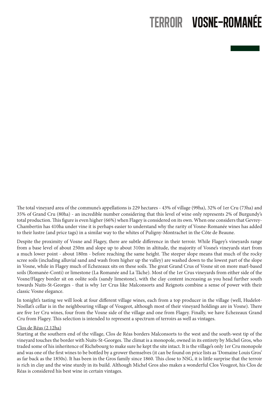### terroir vosne-romanÉe

The total vineyard area of the commune's appellations is 229 hectares - 43% of village (99ha), 32% of 1er Cru (73ha) and 35% of Grand Cru (80ha) - an incredible number considering that this level of wine only represents 2% of Burgundy's total production. This figure is even higher (66%) when Flagey is considered on its own. When one considers that Gevrey-Chambertin has 410ha under vine it is perhaps easier to understand why the rarity of Vosne-Romanée wines has added to their lustre (and price tags) in a similar way to the whites of Puligny-Montrachet in the Côte de Beaune.

Despite the proximity of Vosne and Flagey, there are subtle difference in their terroir. While Flagey's vineyards range from a base level of about 250m and slope up to about 310m in altitude, the majority of Vosne's vineyards start from a much lower point - about 180m - before reaching the same height. The steeper slope means that much of the rocky scree soils (including alluvial sand and wash from higher up the valley) are washed down to the lowest part of the slope in Vosne, while in Flagey much of Echezeaux sits on these soils. The great Grand Crus of Vosne sit on more marl-based soils (Romanée-Conti) or limestone (La Romanée and La Tâche). Most of the 1er Crus vineyards from either side of the Vosne/Flagey border sit on oolite soils (sandy limestone), with the clay content increasing as you head further south towards Nuits-St-Georges - that is why 1er Crus like Malconsorts and Reignots combine a sense of power with their classic Vosne elegance.

In tonight's tasting we will look at four different village wines, each from a top producer in the village (well, Hudelot-Noellat's cellar is in the neighbouring village of Vougeot, although most of their vineyard holdings are in Vosne). There are five 1er Cru wines, four from the Vosne side of the village and one from Flagey. Finally, we have Echezeaux Grand Cru from Flagey. This selection is intended to represent a spectrum of terroirs as well as vintages.

#### Clos de Réas (2.12ha)

Starting at the southern end of the village, Clos de Réas borders Malconsorts to the west and the south-west tip of the vineyard touches the border with Nuits-St-Georges. The climat is a monopole, owned in its entirety by Michel Gros, who traded some of his inheritence of Richebourg to make sure he kept the site intact. It is the village's only 1er Cru monopole and was one of the first wines to be bottled by a grower themselves (it can be found on price lists as 'Domaine Louis Gros' as far back as the 1850s). It has been in the Gros family since 1860. This close to NSG, it is little surprise that the terroir is rich in clay and the wine sturdy in its build. Although Michel Gros also makes a wonderful Clos Vougeot, his Clos de Réas is considered his best wine in certain vintages.